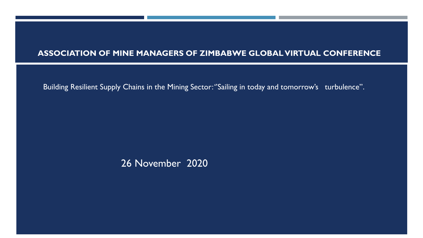#### **ASSOCIATION OF MINE MANAGERS OF ZIMBABWE GLOBAL VIRTUAL CONFERENCE**

Building Resilient Supply Chains in the Mining Sector: ''Sailing in today and tomorrow's turbulence''.

26 November 2020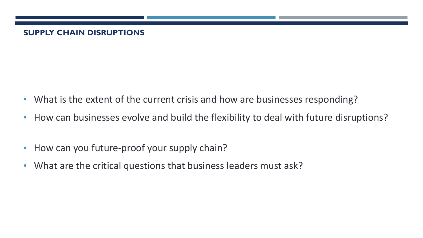## **SUPPLY CHAIN DISRUPTIONS**

- What is the extent of the current crisis and how are businesses responding?
- How can businesses evolve and build the flexibility to deal with future disruptions?
- How can you future-proof your supply chain?
- What are the critical questions that business leaders must ask?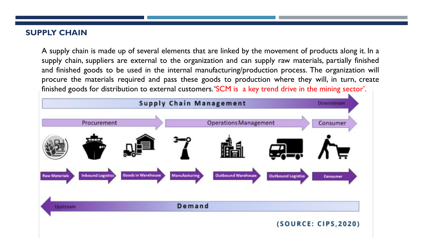#### **SUPPLY CHAIN**

A supply chain is made up of several elements that are linked by the movement of products along it. In a supply chain, suppliers are external to the organization and can supply raw materials, partially finished and finished goods to be used in the internal manufacturing/production process. The organization will procure the materials required and pass these goods to production where they will, in turn, create finished goods for distribution to external customers.'SCM is a key trend drive in the mining sector'.

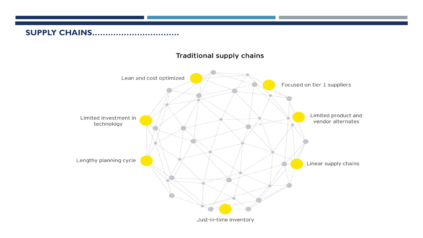## **SUPPLY CHAINS……………………………**

#### Traditional supply chains

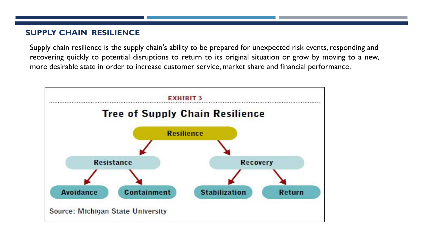#### **SUPPLY CHAIN RESILIENCE**

Supply chain resilience is the supply chain's ability to be prepared for unexpected risk events, responding and recovering quickly to potential disruptions to return to its original situation or grow by moving to a new, more desirable state in order to increase customer service, market share and financial performance.

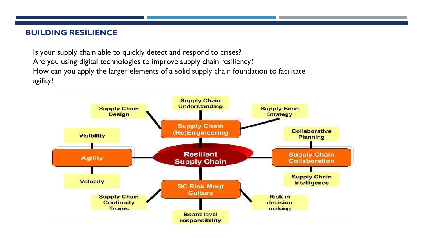#### **BUILDING RESILIENCE**

Is your supply chain able to quickly detect and respond to crises? Are you using digital technologies to improve supply chain resiliency? How can you apply the larger elements of a solid supply chain foundation to facilitate agility?

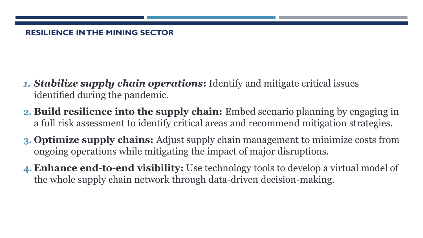## **RESILIENCE IN THE MINING SECTOR**

- *1. Stabilize supply chain operations***:** Identify and mitigate critical issues identified during the pandemic.
- **2. Build resilience into the supply chain:** Embed scenario planning by engaging in a full risk assessment to identify critical areas and recommend mitigation strategies.
- **3. Optimize supply chains:** Adjust supply chain management to minimize costs from ongoing operations while mitigating the impact of major disruptions.
- **4. Enhance end-to-end visibility:** Use technology tools to develop a virtual model of the whole supply chain network through data-driven decision-making.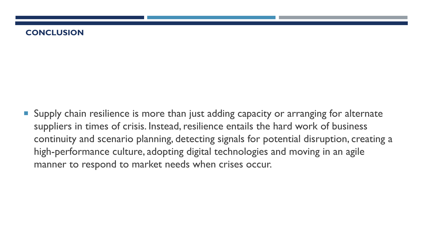#### **CONCLUSION**

**Supply chain resilience is more than just adding capacity or arranging for alternate** suppliers in times of crisis. Instead, resilience entails the hard work of business continuity and scenario planning, detecting signals for potential disruption, creating a high-performance culture, adopting digital technologies and moving in an agile manner to respond to market needs when crises occur.